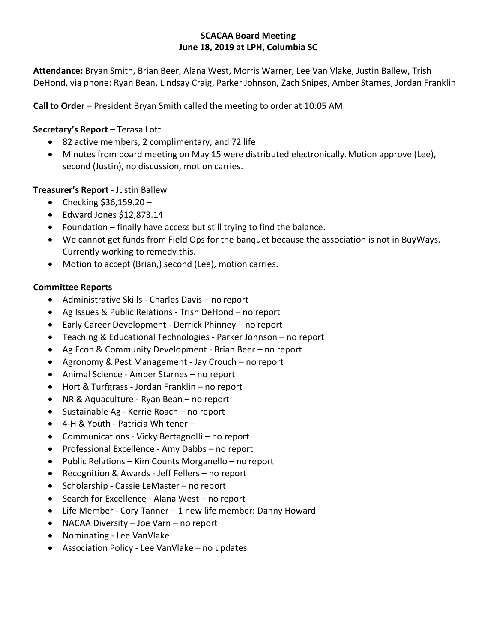#### **SCACAA Board Meeting June 18, 2019 at LPH, Columbia SC**

**Attendance:** Bryan Smith, Brian Beer, Alana West, Morris Warner, Lee Van Vlake, Justin Ballew, Trish DeHond, via phone: Ryan Bean, Lindsay Craig, Parker Johnson, Zach Snipes, Amber Starnes, Jordan Franklin

**Call to Order** – President Bryan Smith called the meeting to order at 10:05 AM.

## **Secretary's Report** – Terasa Lott

- 82 active members, 2 complimentary, and 72 life
- Minutes from board meeting on May 15 were distributed electronically. Motion approve (Lee), second (Justin), no discussion, motion carries.

## **Treasurer's Report** - Justin Ballew

- Checking  $$36,159.20 -$
- Edward Jones \$12,873.14
- Foundation finally have access but still trying to find the balance.
- We cannot get funds from Field Ops for the banquet because the association is not in BuyWays. Currently working to remedy this.
- Motion to accept (Brian,) second (Lee), motion carries.

#### **Committee Reports**

- Administrative Skills Charles Davis no report
- Ag Issues & Public Relations Trish DeHond no report
- Early Career Development Derrick Phinney no report
- Teaching & Educational Technologies Parker Johnson no report
- Ag Econ & Community Development Brian Beer no report
- Agronomy & Pest Management Jay Crouch no report
- Animal Science Amber Starnes no report
- Hort & Turfgrass Jordan Franklin no report
- NR & Aquaculture Ryan Bean no report
- Sustainable Ag Kerrie Roach no report
- 4-H & Youth Patricia Whitener –
- Communications Vicky Bertagnolli no report
- Professional Excellence Amy Dabbs no report
- Public Relations Kim Counts Morganello no report
- Recognition & Awards Jeff Fellers no report
- Scholarship Cassie LeMaster no report
- Search for Excellence Alana West no report
- Life Member Cory Tanner 1 new life member: Danny Howard
- NACAA Diversity Joe Varn no report
- Nominating Lee VanVlake
- Association Policy Lee VanVlake no updates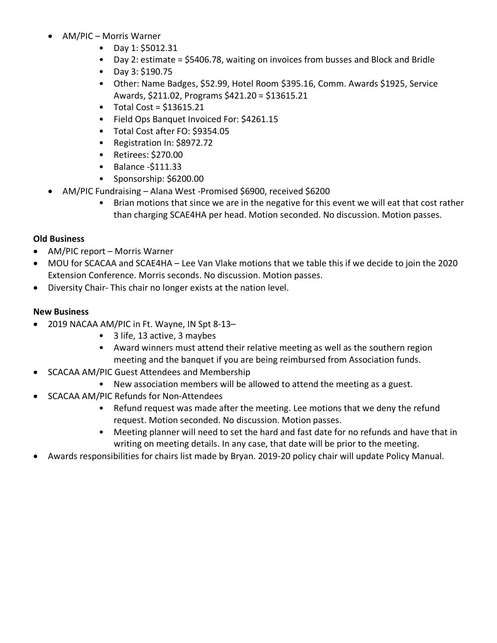- AM/PIC Morris Warner
	- Day 1: \$5012.31
	- Day 2: estimate = \$5406.78, waiting on invoices from busses and Block and Bridle
	- Day 3: \$190.75
	- Other: Name Badges, \$52.99, Hotel Room \$395.16, Comm. Awards \$1925, Service Awards, \$211.02, Programs \$421.20 = \$13615.21
	- $\bullet$  Total Cost = \$13615.21
	- Field Ops Banquet Invoiced For: \$4261.15
	- Total Cost after FO: \$9354.05
	- Registration In: \$8972.72
	- Retirees: \$270.00
	- Balance -\$111.33
	- Sponsorship: \$6200.00
- AM/PIC Fundraising Alana West -Promised \$6900, received \$6200
	- Brian motions that since we are in the negative for this event we will eat that cost rather than charging SCAE4HA per head. Motion seconded. No discussion. Motion passes.

# **Old Business**

- AM/PIC report Morris Warner
- MOU for SCACAA and SCAE4HA Lee Van Vlake motions that we table this if we decide to join the 2020 Extension Conference. Morris seconds. No discussion. Motion passes.
- Diversity Chair- This chair no longer exists at the nation level.

## **New Business**

- 2019 NACAA AM/PIC in Ft. Wayne, IN Spt 8-13–
	- 3 life, 13 active, 3 maybes
	- Award winners must attend their relative meeting as well as the southern region meeting and the banquet if you are being reimbursed from Association funds.
	- SCACAA AM/PIC Guest Attendees and Membership
		- New association members will be allowed to attend the meeting as a guest.
- SCACAA AM/PIC Refunds for Non-Attendees
	- Refund request was made after the meeting. Lee motions that we deny the refund request. Motion seconded. No discussion. Motion passes.
	- Meeting planner will need to set the hard and fast date for no refunds and have that in writing on meeting details. In any case, that date will be prior to the meeting.
- Awards responsibilities for chairs list made by Bryan. 2019-20 policy chair will update Policy Manual.